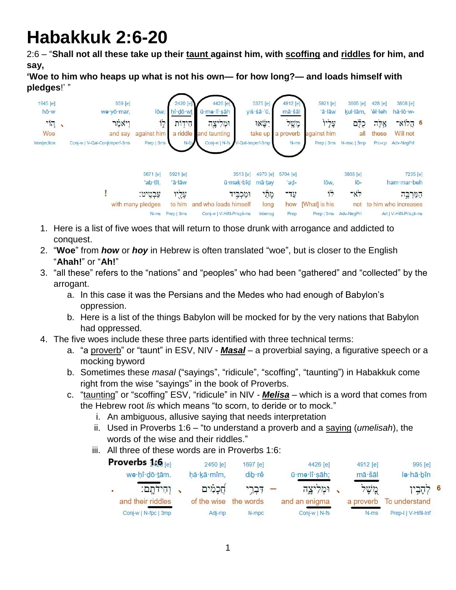# **Habakkuk 2:6-20**

2:6 – "**Shall not all these take up their taunt against him, with scoffing and riddles for him, and say,** 

**'Woe to him who heaps up what is not his own— for how long?— and loads himself with pledges**!' "

| 1945 [e]<br>hō·w                |  | 559 [e]<br>we yō mar.         | lōw;                        | 2420 [e]<br>hî dō wt | 4426 [e]<br>ū·me·lî·sāh                             |                       | 5375 [e]<br>yiś·śā·'ū, | 4912 [e]<br>mā·šāl  | 5921 [e]<br>'ā·lāw          | 3605 [e]<br>kul·lām. | 428 [e]<br>'êl·leh | 3808 [e]<br>hă lõ w-                            |  |
|---------------------------------|--|-------------------------------|-----------------------------|----------------------|-----------------------------------------------------|-----------------------|------------------------|---------------------|-----------------------------|----------------------|--------------------|-------------------------------------------------|--|
| $\overline{\mathcal{D}}$<br>Woe |  | ויאמר<br>and say              | 17<br>against him           | חידות                | וּמְלִיצֶה<br>a riddle and taunting                 |                       | ישאו?<br>take up       | מְשָׁל<br>a proverb | עֲלִיוֹ<br>against him      | כִלְם<br>all         | אַלְה<br>these     | 6 הֵלוֹא־<br>Will not                           |  |
| <b>Interjection</b>             |  | Conj-w   V-Qal-ConjImperf-3ms | Prep   3ms                  | $N$ -fp              | Conj-w   N-fs / V-Qal-Imperf-3mp                    |                       |                        | $N-ms$              | Prep   3ms                  | N-msc   3mp          | Pro-cp             | Adv-NegPrt                                      |  |
|                                 |  |                               | 5671 [e]<br>'ab tît.        | 5921 [e]<br>$a$ -lāw |                                                     | 3513 [e]<br>ū·mak·bîd | 4970 [e]<br>mā tay     | 5704 [e]<br>'ad-    | lōw.                        | 3808 [e]<br>lō-      |                    | 7235 [e]<br>ham mar beh                         |  |
|                                 |  |                               | עַבְטְיט:                   | עֲלֵיו               |                                                     | ומַכְבִיד             | מְתֵל                  | עד־                 | ド                           | $-x$                 |                    | המרבה                                           |  |
|                                 |  |                               | with many pledges<br>$N-ms$ | to him<br>Prep   3ms | and who loads himself<br>Conj-w   V-Hifil-Prtcpl-ms |                       | long<br>Interrog       | how<br>Prep         | [What] is his<br>Prep   3ms | not<br>Adv-NegPrt    |                    | to him who increases<br>Art   V-Hifil-Prtcpl-ms |  |

- 1. Here is a list of five woes that will return to those drunk with arrogance and addicted to conquest.
- 2. "**Woe**" from *how* or *hoy* in Hebrew is often translated "woe", but is closer to the English "**Ahah!**" or "**Ah!**"
- 3. "all these" refers to the "nations" and "peoples" who had been "gathered" and "collected" by the arrogant.
	- a. In this case it was the Persians and the Medes who had enough of Babylon's oppression.
	- b. Here is a list of the things Babylon will be mocked for by the very nations that Babylon had oppressed.
- 4. The five woes include these three parts identified with three technical terms:
	- a. "a proverb" or "taunt" in ESV, NIV *- Masal* a proverbial saying, a figurative speech or a mocking byword
	- b. Sometimes these *masal* ("sayings", "ridicule", "scoffing", "taunting") in Habakkuk come right from the wise "sayings" in the book of Proverbs.
	- c. "taunting" or "scoffing" ESV, "ridicule" in NIV *- Melisa* which is a word that comes from the Hebrew root *lis* which means "to scorn, to deride or to mock."
		- i. An ambiguous, allusive saying that needs interpretation
		- ii. Used in Proverbs 1:6 "to understand a proverb and a saying (*umelisah*), the words of the wise and their riddles."
		- iii. All three of these words are in Proverbs 1:6:

| Proverbs $1/6$ [e]   | 2450 [e]    | 1697 [e]  | 4426 el       | 4912 [e]  | 995 [e]              |   |
|----------------------|-------------|-----------|---------------|-----------|----------------------|---|
| we·hî·dō·tām.        | hă kā mîm,  | dib rê    | ū·mə·lî·sāh;  | mā šāl    | le hā bîn            |   |
| וחידתם:              | חֲכָמִים    | דִּבְרֵי  | ומליצה        | מֲשָׁל    | קביי <sub>)</sub>    | 6 |
| and their riddles    | of the wise | the words | and an enigma | a proverb | To understand        |   |
| Conj-w   N-fpc   3mp | Adj-mp      | $N$ -mpc  | Conj-w   N-fs | $N-ms$    | Prep-I   V-Hifil-Inf |   |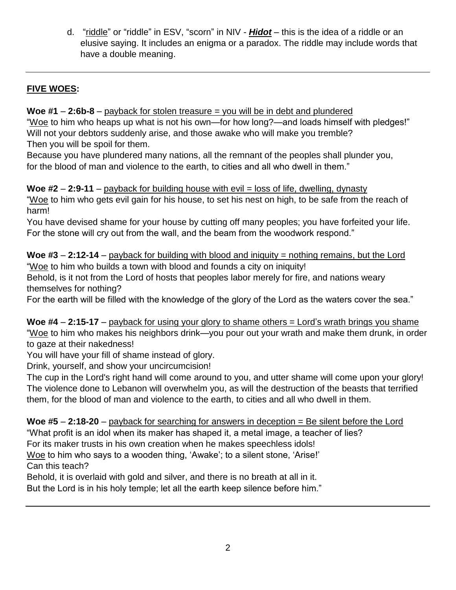d. "riddle" or "riddle" in ESV, "scorn" in NIV *- Hidot* – this is the idea of a riddle or an elusive saying. It includes an enigma or a paradox. The riddle may include words that have a double meaning.

### **FIVE WOES:**

#### **Woe #1** – **2:6b-8** – payback for stolen treasure = you will be in debt and plundered

"Woe to him who heaps up what is not his own—for how long?—and loads himself with pledges!" Will not your debtors suddenly arise, and those awake who will make you tremble? Then you will be spoil for them.

Because you have plundered many nations, all the remnant of the peoples shall plunder you, for the blood of man and violence to the earth, to cities and all who dwell in them."

**Woe #2** – **2:9-11** – payback for building house with evil = loss of life, dwelling, dynasty "Woe to him who gets evil gain for his house, to set his nest on high, to be safe from the reach of harm!

You have devised shame for your house by cutting off many peoples; you have forfeited your life. For the stone will cry out from the wall, and the beam from the woodwork respond."

**Woe #3** – **2:12-14** – payback for building with blood and iniquity = nothing remains, but the Lord "Woe to him who builds a town with blood and founds a city on iniquity! Behold, is it not from the Lord of hosts that peoples labor merely for fire, and nations weary themselves for nothing?

For the earth will be filled with the knowledge of the glory of the Lord as the waters cover the sea."

**Woe #4** – **2:15-17** – payback for using your glory to shame others = Lord's wrath brings you shame "Woe to him who makes his neighbors drink—you pour out your wrath and make them drunk, in order to gaze at their nakedness!

You will have your fill of shame instead of glory.

Drink, yourself, and show your uncircumcision!

The cup in the Lord's right hand will come around to you, and utter shame will come upon your glory! The violence done to Lebanon will overwhelm you, as will the destruction of the beasts that terrified them, for the blood of man and violence to the earth, to cities and all who dwell in them.

**Woe #5** – **2:18-20** – payback for searching for answers in deception = Be silent before the Lord

"What profit is an idol when its maker has shaped it, a metal image, a teacher of lies?

For its maker trusts in his own creation when he makes speechless idols!

Woe to him who says to a wooden thing, 'Awake'; to a silent stone, 'Arise!' Can this teach?

Behold, it is overlaid with gold and silver, and there is no breath at all in it.

But the Lord is in his holy temple; let all the earth keep silence before him."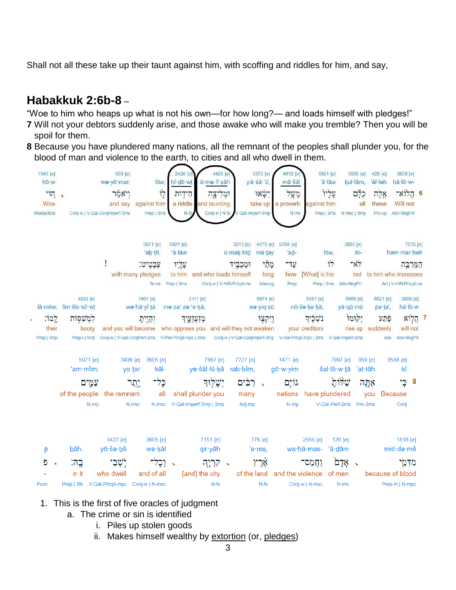Shall not all these take up their taunt against him, with scoffing and riddles for him, and say,

## **Habakkuk 2:6b-8** –

"Woe to him who heaps up what is not his own—for how long?— and loads himself with pledges!"

- **7** Will not your debtors suddenly arise, and those awake who will make you tremble? Then you will be spoil for them.
- **8** Because you have plundered many nations, all the remnant of the peoples shall plunder you, for the blood of man and violence to the earth, to cities and all who dwell in them.



- 1. This is the first of five oracles of judgment
	- a. The crime or sin is identified
		- i. Piles up stolen goods
		- ii. Makes himself wealthy by extortion (or, pledges)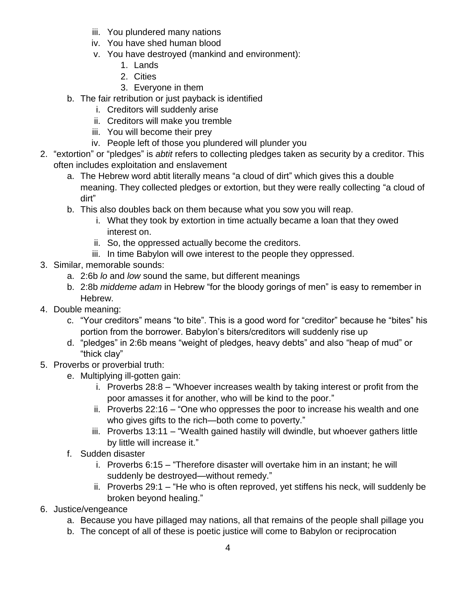- iii. You plundered many nations
- iv. You have shed human blood
- v. You have destroyed (mankind and environment):
	- 1. Lands
	- 2. Cities
	- 3. Everyone in them
- b. The fair retribution or just payback is identified
	- i. Creditors will suddenly arise
	- ii. Creditors will make you tremble
	- iii. You will become their prey
	- iv. People left of those you plundered will plunder you
- 2. "extortion" or "pledges" is *abtit* refers to collecting pledges taken as security by a creditor. This often includes exploitation and enslavement
	- a. The Hebrew word abtit literally means "a cloud of dirt" which gives this a double meaning. They collected pledges or extortion, but they were really collecting "a cloud of dirt"
	- b. This also doubles back on them because what you sow you will reap.
		- i. What they took by extortion in time actually became a loan that they owed interest on.
		- ii. So, the oppressed actually become the creditors.
		- iii. In time Babylon will owe interest to the people they oppressed.
- 3. Similar, memorable sounds:
	- a. 2:6b *lo* and *low* sound the same, but different meanings
	- b. 2:8b *middeme adam* in Hebrew "for the bloody gorings of men" is easy to remember in Hebrew.
- 4. Double meaning:
	- c. "Your creditors" means "to bite". This is a good word for "creditor" because he "bites" his portion from the borrower. Babylon's biters/creditors will suddenly rise up
	- d. "pledges" in 2:6b means "weight of pledges, heavy debts" and also "heap of mud" or "thick clay"
- 5. Proverbs or proverbial truth:
	- e. Multiplying ill-gotten gain:
		- i. Proverbs 28:8 "Whoever increases wealth by taking interest or profit from the poor amasses it for another, who will be kind to the poor."
		- ii. Proverbs 22:16 "One who oppresses the poor to increase his wealth and one who gives gifts to the rich—both come to poverty."
		- iii. Proverbs 13:11 "Wealth gained hastily will dwindle, but whoever gathers little by little will increase it."
	- f. Sudden disaster
		- i. Proverbs 6:15 "Therefore disaster will overtake him in an instant; he will suddenly be destroyed—without remedy."
		- ii. Proverbs 29:1 "He who is often reproved, yet stiffens his neck, will suddenly be broken beyond healing."
- 6. Justice/vengeance
	- a. Because you have pillaged may nations, all that remains of the people shall pillage you
	- b. The concept of all of these is poetic justice will come to Babylon or reciprocation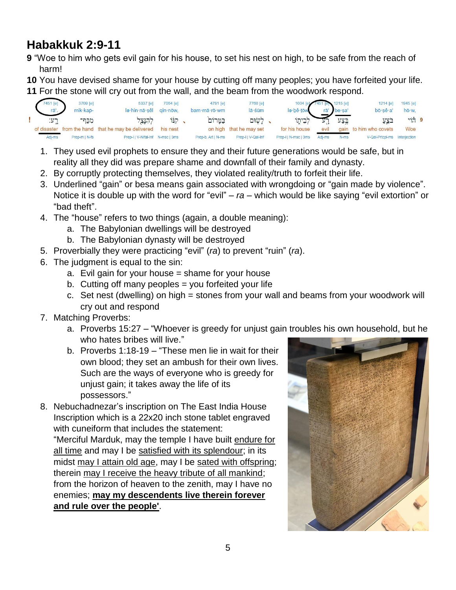# **Habakkuk 2:9-11**

- **9** "Woe to him who gets evil gain for his house, to set his nest on high, to be safe from the reach of harm!
- **10** You have devised shame for your house by cutting off many peoples; you have forfeited your life.
- **11** For the stone will cry out from the wall, and the beam from the woodwork respond.



- 1. They used evil prophets to ensure they and their future generations would be safe, but in reality all they did was prepare shame and downfall of their family and dynasty.
- 2. By corruptly protecting themselves, they violated reality/truth to forfeit their life.
- 3. Underlined "gain" or besa means gain associated with wrongdoing or "gain made by violence". Notice it is double up with the word for "evil" – *ra* – which would be like saying "evil extortion" or "bad theft".
- 4. The "house" refers to two things (again, a double meaning):
	- a. The Babylonian dwellings will be destroyed
	- b. The Babylonian dynasty will be destroyed
- 5. Proverbially they were practicing "evil" (*ra*) to prevent "ruin" (*ra*).
- 6. The judgment is equal to the sin:
	- a. Evil gain for your house = shame for your house
	- b. Cutting off many peoples  $=$  you forfeited your life
	- c. Set nest (dwelling) on high = stones from your wall and beams from your woodwork will cry out and respond
- 7. Matching Proverbs:
	- a. Proverbs 15:27 "Whoever is greedy for unjust gain troubles his own household, but he who hates bribes will live."
	- b. Proverbs 1:18-19 "These men lie in wait for their own blood; they set an ambush for their own lives. Such are the ways of everyone who is greedy for unjust gain; it takes away the life of its possessors."
- 8. Nebuchadnezar's inscription on The East India House Inscription which is a 22x20 inch stone tablet engraved with cuneiform that includes the statement:

"Merciful Marduk, may the temple I have built endure for all time and may I be satisfied with its splendour; in its midst may I attain old age, may I be sated with offspring; therein may I receive the heavy tribute of all mankind; from the horizon of heaven to the zenith, may I have no enemies; **may my descendents live therein forever and rule over the people'**.